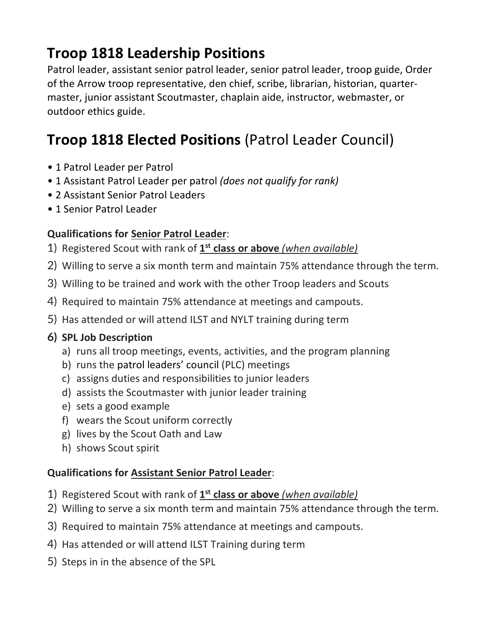## **Troop 1818 Leadership Positions**

Patrol leader, assistant senior patrol leader, senior patrol leader, troop guide, Order of the Arrow troop representative, den chief, scribe, librarian, historian, quartermaster, junior assistant Scoutmaster, chaplain aide, instructor, webmaster, or outdoor ethics guide.

### **Troop 1818 Elected Positions** (Patrol Leader Council)

- 1 Patrol Leader per Patrol
- 1 Assistant Patrol Leader per patrol *(does not qualify for rank)*
- 2 Assistant Senior Patrol Leaders
- 1 Senior Patrol Leader

### **Qualifications for Senior Patrol Leader**:

- 1) Registered Scout with rank of **1st class or above** *(when available)*
- 2) Willing to serve a six month term and maintain 75% attendance through the term.
- 3) Willing to be trained and work with the other Troop leaders and Scouts
- 4) Required to maintain 75% attendance at meetings and campouts.
- 5) Has attended or will attend ILST and NYLT training during term

#### **6) SPL Job Description**

- a) runs all troop meetings, events, activities, and the program planning
- b) runs the patrol leaders' council (PLC) meetings
- c) assigns duties and responsibilities to junior leaders
- d) assists the Scoutmaster with junior leader training
- e) sets a good example
- f) wears the Scout uniform correctly
- g) lives by the Scout Oath and Law
- h) shows Scout spirit

#### **Qualifications for Assistant Senior Patrol Leader**:

- 1) Registered Scout with rank of **1st class or above** *(when available)*
- 2) Willing to serve a six month term and maintain 75% attendance through the term.
- 3) Required to maintain 75% attendance at meetings and campouts.
- 4) Has attended or will attend ILST Training during term
- 5) Steps in in the absence of the SPL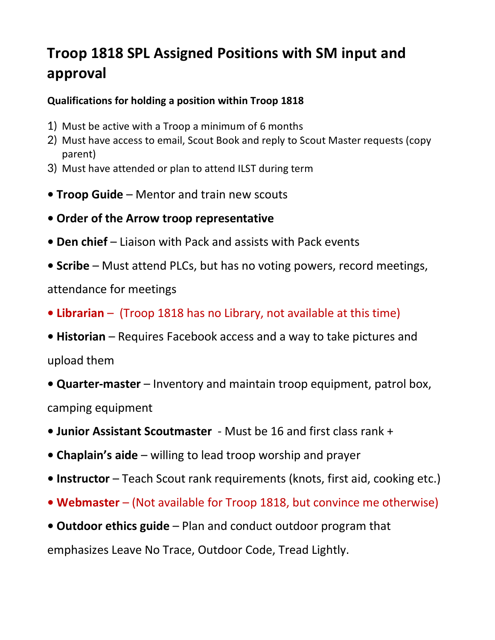## **Troop 1818 SPL Assigned Positions with SM input and approval**

### **Qualifications for holding a position within Troop 1818**

- 1) Must be active with a Troop a minimum of 6 months
- 2) Must have access to email, Scout Book and reply to Scout Master requests (copy parent)
- 3) Must have attended or plan to attend ILST during term
- **• Troop Guide** Mentor and train new scouts
- **Order of the Arrow troop representative**
- **Den chief** Liaison with Pack and assists with Pack events
- **Scribe** Must attend PLCs, but has no voting powers, record meetings,

attendance for meetings

- **Librarian** (Troop 1818 has no Library, not available at this time)
- **Historian** Requires Facebook access and a way to take pictures and upload them
- **Quarter-master** Inventory and maintain troop equipment, patrol box, camping equipment
- **Junior Assistant Scoutmaster** Must be 16 and first class rank +
- **Chaplain's aide** willing to lead troop worship and prayer
- **Instructor** Teach Scout rank requirements (knots, first aid, cooking etc.)
- **Webmaster** (Not available for Troop 1818, but convince me otherwise)
- **Outdoor ethics guide** Plan and conduct outdoor program that

emphasizes Leave No Trace, Outdoor Code, Tread Lightly.